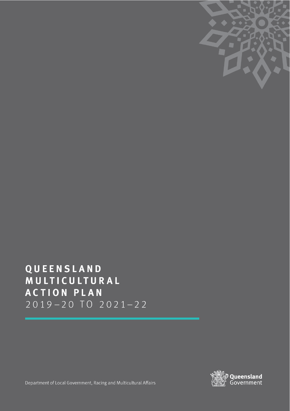

# QUEENSLAND MULTICULTURAL **ACTION PLAN**  $2019 - 20$  TO  $2021 - 22$



Department of Local Government, Racing and Multicultural Affairs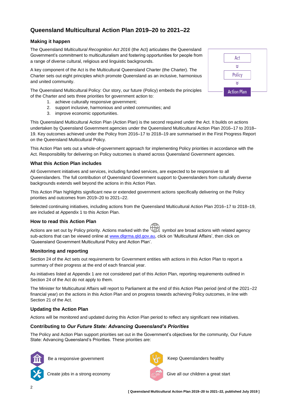# **Queensland Multicultural Action Plan 2019–20 to 2021–22**

# **Making it happen**

The Queensland *Multicultural Recognition Act 2016* (the Act) articulates the Queensland Government's commitment to multiculturalism and fostering opportunities for people from a range of diverse cultural, religious and linguistic backgrounds.

A key component of the Act is the Multicultural Queensland Charter (the Charter). The Charter sets out eight principles which promote Queensland as an inclusive, harmonious and united community.

The Queensland Multicultural Policy: Our story, our future (Policy) embeds the principles of the Charter and sets three priorities for government action to:

- 1. achieve culturally responsive government;
- 2. support inclusive, harmonious and united communities; and
- 3. improve economic opportunities.

This Queensland Multicultural Action Plan (Action Plan) is the second required under the Act. It builds on actions undertaken by Queensland Government agencies under the Queensland Multicultural Action Plan 2016–17 to 2018– 19. Key outcomes achieved under the Policy from 2016–17 to 2018–19 are summarised in the First Progress Report on the Queensland Multicultural Policy.

This Action Plan sets out a whole-of-government approach for implementing Policy priorities in accordance with the Act. Responsibility for delivering on Policy outcomes is shared across Queensland Government agencies.

# **What this Action Plan includes**

All Government initiatives and services, including funded services, are expected to be responsive to all Queenslanders. The full contribution of Queensland Government support to Queenslanders from culturally diverse backgrounds extends well beyond the actions in this Action Plan.

This Action Plan highlights significant new or extended government actions specifically delivering on the Policy priorities and outcomes from 2019*–*20 to 2021*–*22.

Selected continuing initiatives, including actions from the Queensland Multicultural Action Plan 2016–17 to 2018–19, are included at Appendix 1 to this Action Plan.

# **How to read this Action Plan**

Actions are set out by Policy priority. Actions marked with the  $\bigoplus$  symbol are broad actions with related agency sub-actions that can be viewed online at [www.dlgrma.qld.gov.au,](http://www.dlgrma.qld.gov.au/) click on 'Multicultural Affairs', then click on 'Queensland Government Multicultural Policy and Action Plan'.

# **Monitoring and reporting**

Section 24 of the Act sets out requirements for Government entities with actions in this Action Plan to report a summary of their progress at the end of each financial year.

As initiatives listed at Appendix 1 are not considered part of this Action Plan, reporting requirements outlined in Section 24 of the Act do not apply to them.

The Minister for Multicultural Affairs will report to Parliament at the end of this Action Plan period (end of the 2021*–*22 financial year) on the actions in this Action Plan and on progress towards achieving Policy outcomes, in line with Section 21 of the Act.

# **Updating the Action Plan**

Actions will be monitored and updated during this Action Plan period to reflect any significant new initiatives.

# **Contributing to** *Our Future State: Advancing Queensland's Priorities*

The Policy and Action Plan support priorities set out in the Government's objectives for the community, Our Future State: Advancing Queensland's Priorities. These priorities are:





Be a responsive government The Contract the Reep Queenslanders healthy

Create jobs in a strong economy Give all our children a great start

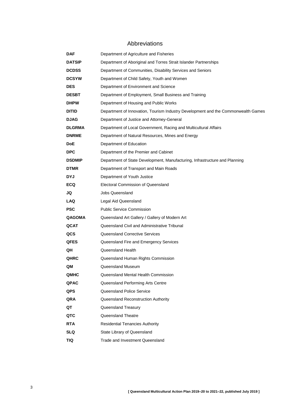# Abbreviations

| DAF           | Department of Agriculture and Fisheries                                           |
|---------------|-----------------------------------------------------------------------------------|
| <b>DATSIP</b> | Department of Aboriginal and Torres Strait Islander Partnerships                  |
| <b>DCDSS</b>  | Department of Communities, Disability Services and Seniors                        |
| <b>DCSYW</b>  | Department of Child Safety, Youth and Women                                       |
| <b>DES</b>    | Department of Environment and Science                                             |
| <b>DESBT</b>  | Department of Employment, Small Business and Training                             |
| <b>DHPW</b>   | Department of Housing and Public Works                                            |
| DITID         | Department of Innovation, Tourism Industry Development and the Commonwealth Games |
| <b>DJAG</b>   | Department of Justice and Attorney-General                                        |
| <b>DLGRMA</b> | Department of Local Government, Racing and Multicultural Affairs                  |
| <b>DNRME</b>  | Department of Natural Resources, Mines and Energy                                 |
| DoE           | Department of Education                                                           |
| <b>DPC</b>    | Department of the Premier and Cabinet                                             |
| <b>DSDMIP</b> | Department of State Development, Manufacturing, Infrastructure and Planning       |
| <b>DTMR</b>   | Department of Transport and Main Roads                                            |
| DYJ           | Department of Youth Justice                                                       |
| <b>ECQ</b>    | Electoral Commission of Queensland                                                |
| JQ            | Jobs Queensland                                                                   |
| LAQ           | Legal Aid Queensland                                                              |
| <b>PSC</b>    | <b>Public Service Commission</b>                                                  |
| <b>QAGOMA</b> | Queensland Art Gallery / Gallery of Modern Art                                    |
| QCAT          | Queensland Civil and Administrative Tribunal                                      |
| QCS           | <b>Queensland Corrective Services</b>                                             |
| QFES          | Queensland Fire and Emergency Services                                            |
| QH            | Queensland Health                                                                 |
| <b>QHRC</b>   | Queensland Human Rights Commission                                                |
| QM            | Queensland Museum                                                                 |
| QMHC          | Queensland Mental Health Commission                                               |
| <b>QPAC</b>   | Queensland Performing Arts Centre                                                 |
| QPS           | Queensland Police Service                                                         |
| QRA           | Queensland Reconstruction Authority                                               |
| QT            | Queensland Treasury                                                               |
| QTC           | Queensland Theatre                                                                |
| <b>RTA</b>    | <b>Residential Tenancies Authority</b>                                            |
| SLQ           | State Library of Queensland                                                       |
| TIQ           | Trade and Investment Queensland                                                   |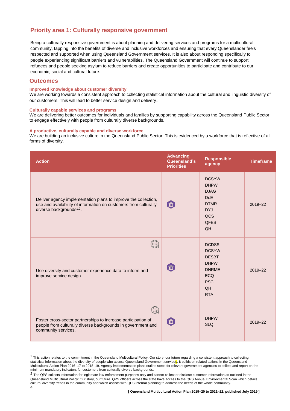# **Priority area 1: Culturally responsive government**

Being a culturally responsive government is about planning and delivering services and programs for a multicultural community, tapping into the benefits of diverse and inclusive workforces and ensuring that every Queenslander feels respected and supported when using Queensland Government services. It is also about responding specifically to people experiencing significant barriers and vulnerabilities. The Queensland Government will continue to support refugees and people seeking asylum to reduce barriers and create opportunities to participate and contribute to our economic, social and cultural future.

# **Outcomes**

### **Improved knowledge about customer diversity**

We are working towards a consistent approach to collecting statistical information about the cultural and linguistic diversity of our customers. This will lead to better service design and delivery.

#### **Culturally capable services and programs**

We are delivering better outcomes for individuals and families by supporting capability across the Queensland Public Sector to engage effectively with people from culturally diverse backgrounds.

#### **A productive, culturally capable and diverse workforce**

We are building an inclusive culture in the Queensland Public Sector. This is evidenced by a workforce that is reflective of all forms of diversity.

| <b>Action</b>                                                                                                                                                              | <b>Advancing</b><br>Queensland's<br><b>Priorities</b> | <b>Responsible</b><br>agency                                                                                                | <b>Timeframe</b> |
|----------------------------------------------------------------------------------------------------------------------------------------------------------------------------|-------------------------------------------------------|-----------------------------------------------------------------------------------------------------------------------------|------------------|
| Deliver agency implementation plans to improve the collection,<br>use and availability of information on customers from culturally<br>diverse backgrounds <sup>1,2</sup> . | 血                                                     | <b>DCSYW</b><br><b>DHPW</b><br><b>DJAG</b><br>DoE<br><b>DTMR</b><br><b>DYJ</b><br>QCS<br><b>QFES</b><br>QH                  | 2019-22          |
| Use diversity and customer experience data to inform and<br>improve service design.                                                                                        | 血                                                     | <b>DCDSS</b><br><b>DCSYW</b><br><b>DESBT</b><br><b>DHPW</b><br><b>DNRME</b><br><b>ECQ</b><br><b>PSC</b><br>QH<br><b>RTA</b> | $2019 - 22$      |
| $\mathbb{B}$<br>Foster cross-sector partnerships to increase participation of<br>people from culturally diverse backgrounds in government and<br>community services.       | 血                                                     | <b>DHPW</b><br><b>SLQ</b>                                                                                                   | 2019-22          |

<sup>&</sup>lt;sup>1</sup> This action relates to the commitment in the Queensland Multicultural Policy: Our story, our future regarding a consistent approach to collecting statistical information about the diversity of people who access Queensland Government services. It builds on related actions in the Queensland Multicultural Action Plan 2016**–**17 to 2018**–**19. Agency implementation plans outline steps for relevant government agencies to collect and report on the minimum mandatory indicators for customers from culturally diverse backgrounds.

 $\overline{a}$ 

<sup>&</sup>lt;sup>2</sup> The QPS collects information for legitimate law enforcement purposes only and cannot collect or disclose customer information as outlined in the Queensland Multicultural Policy: Our story, our future. QPS officers across the state have access to the QPS Annual Environmental Scan which details cultural diversity trends in the community and which assists with QPS internal planning to address the needs of the whole community.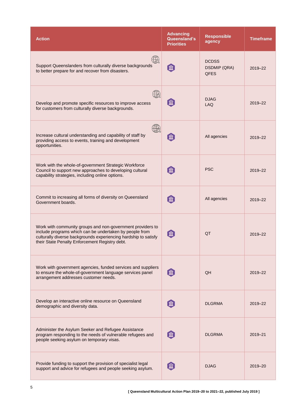| <b>Action</b>                                                                                                                                                                                                                              | <b>Advancing</b><br>Queensland's<br><b>Priorities</b> | <b>Responsible</b><br>agency                       | <b>Timeframe</b> |
|--------------------------------------------------------------------------------------------------------------------------------------------------------------------------------------------------------------------------------------------|-------------------------------------------------------|----------------------------------------------------|------------------|
| $\mathbb{Z}$<br>Support Queenslanders from culturally diverse backgrounds<br>to better prepare for and recover from disasters.                                                                                                             | 血                                                     | <b>DCDSS</b><br><b>DSDMIP (QRA)</b><br><b>QFES</b> | 2019-22          |
| $\mathbb{Z}$<br>Develop and promote specific resources to improve access<br>for customers from culturally diverse backgrounds.                                                                                                             | 血                                                     | <b>DJAG</b><br><b>LAQ</b>                          | 2019-22          |
| $\mathbb{Z}$<br>Increase cultural understanding and capability of staff by<br>providing access to events, training and development<br>opportunities.                                                                                       | 血                                                     | All agencies                                       | 2019-22          |
| Work with the whole-of-government Strategic Workforce<br>Council to support new approaches to developing cultural<br>capability strategies, including online options.                                                                      | 血                                                     | <b>PSC</b>                                         | 2019-22          |
| Commit to increasing all forms of diversity on Queensland<br>Government boards.                                                                                                                                                            | 血                                                     | All agencies                                       | 2019-22          |
| Work with community groups and non-government providers to<br>include programs which can be undertaken by people from<br>culturally diverse backgrounds experiencing hardship to satisfy<br>their State Penalty Enforcement Registry debt. | 血                                                     | QT                                                 | 2019-22          |
| Work with government agencies, funded services and suppliers<br>to ensure the whole-of-government language services panel<br>arrangement addresses customer needs.                                                                         | 血                                                     | QH                                                 | 2019-22          |
| Develop an interactive online resource on Queensland<br>demographic and diversity data.                                                                                                                                                    | 血                                                     | <b>DLGRMA</b>                                      | 2019-22          |
| Administer the Asylum Seeker and Refugee Assistance<br>program responding to the needs of vulnerable refugees and<br>people seeking asylum on temporary visas.                                                                             | 〔血                                                    | <b>DLGRMA</b>                                      | 2019-21          |
| Provide funding to support the provision of specialist legal<br>support and advice for refugees and people seeking asylum.                                                                                                                 | 血                                                     | <b>DJAG</b>                                        | 2019-20          |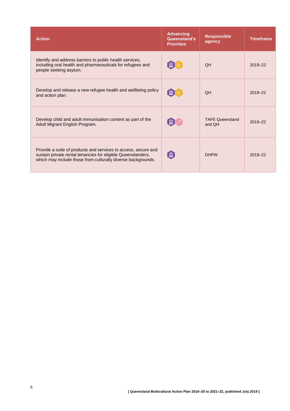| <b>Action</b>                                                                                                                                                                                  | <b>Advancing</b><br>Queensland's<br><b>Priorities</b> | <b>Responsible</b><br>agency     | <b>Timeframe</b> |
|------------------------------------------------------------------------------------------------------------------------------------------------------------------------------------------------|-------------------------------------------------------|----------------------------------|------------------|
| Identify and address barriers to public health services,<br>including oral health and pharmaceuticals for refugees and<br>people seeking asylum.                                               | 血【��                                                  | <b>OH</b>                        | 2019-22          |
| Develop and release a new refugee health and wellbeing policy<br>and action plan.                                                                                                              | $\lceil \textbf{m} \rceil$                            | <b>QH</b>                        | $2019 - 22$      |
| Develop child and adult immunisation content as part of the<br>Adult Migrant English Program.                                                                                                  | $[\hat{\mathrm{m}}]$                                  | <b>TAFE Queensland</b><br>and OH | 2019-22          |
| Provide a suite of products and services to access, secure and<br>sustain private rental tenancies for eligible Queenslanders,<br>which may include those from culturally diverse backgrounds. | 血                                                     | <b>DHPW</b>                      | 2019-22          |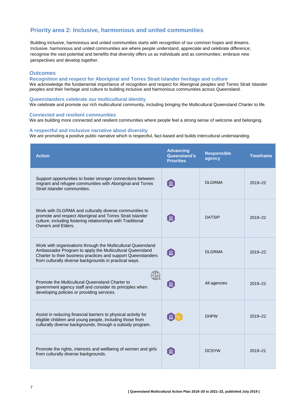# **Priority area 2: Inclusive, harmonious and united communities**

Building inclusive, harmonious and united communities starts with recognition of our common hopes and dreams. Inclusive, harmonious and united communities are where people understand, appreciate and celebrate difference; recognise the vast potential and benefits that diversity offers us as individuals and as communities; embrace new perspectives and develop together.

### **Outcomes**

# **Recognition and respect for Aboriginal and Torres Strait Islander heritage and culture**

We acknowledge the fundamental importance of recognition and respect for Aboriginal peoples and Torres Strait Islander peoples and their heritage and culture to building inclusive and harmonious communities across Queensland.

#### **Queenslanders celebrate our multicultural identity**

We celebrate and promote our rich multicultural community, including bringing the Multicultural Queensland Charter to life.

#### **Connected and resilient communities**

We are building more connected and resilient communities where people feel a strong sense of welcome and belonging.

### **A respectful and inclusive narrative about diversity**

We are promoting a positive public narrative which is respectful, fact-based and builds intercultural understanding.

| <b>Action</b>                                                                                                                                                                                                                                       | <b>Advancing</b><br>Queensland's<br><b>Priorities</b> | <b>Responsible</b><br>agency | <b>Timeframe</b> |
|-----------------------------------------------------------------------------------------------------------------------------------------------------------------------------------------------------------------------------------------------------|-------------------------------------------------------|------------------------------|------------------|
| Support opportunities to foster stronger connections between<br>migrant and refugee communities with Aboriginal and Torres<br>Strait Islander communities.                                                                                          | 血                                                     | <b>DLGRMA</b>                | 2019-22          |
| Work with DLGRMA and culturally diverse communities to<br>promote and respect Aboriginal and Torres Strait Islander<br>culture, including fostering relationships with Traditional<br>Owners and Elders.                                            | 血                                                     | <b>DATSIP</b>                | 2019-22          |
| Work with organisations through the Multicultural Queensland<br>Ambassador Program to apply the Multicultural Queensland<br>Charter to their business practices and support Queenslanders<br>from culturally diverse backgrounds in practical ways. | 血                                                     | <b>DLGRMA</b>                | 2019-22          |
| Promote the Multicultural Queensland Charter to<br>government agency staff and consider its principles when<br>developing policies or providing services.                                                                                           | 血                                                     | All agencies                 | 2019-22          |
| Assist in reducing financial barriers to physical activity for<br>eligible children and young people, including those from<br>culturally diverse backgrounds, through a subsidy program.                                                            |                                                       | <b>DHPW</b>                  | 2019-22          |
| Promote the rights, interests and wellbeing of women and girls<br>from culturally diverse backgrounds.                                                                                                                                              | 「血                                                    | <b>DCSYW</b>                 | 2019-21          |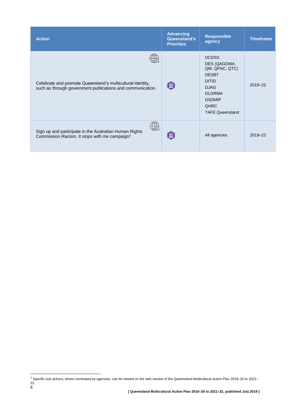| <b>Action</b>                                                                                                            | <b>Advancing</b><br>Queensland's<br><b>Priorities</b> | <b>Responsible</b><br>agency                                                                                                                                             | <b>Timeframe</b> |
|--------------------------------------------------------------------------------------------------------------------------|-------------------------------------------------------|--------------------------------------------------------------------------------------------------------------------------------------------------------------------------|------------------|
| Celebrate and promote Queensland's multicultural identity,<br>such as through government publications and communication. | 血                                                     | <b>DCDSS</b><br>DES (QAGOMA,<br>QM, QPAC, QTC)<br><b>DESBT</b><br><b>DITID</b><br><b>DJAG</b><br><b>DLGRMA</b><br><b>DSDMIP</b><br><b>QHRC</b><br><b>TAFE Queensland</b> | 2019-22          |
| Sign up and participate in the Australian Human Rights<br>Commission Racism. It stops with me campaign <sup>3</sup> .    | 血                                                     | All agencies                                                                                                                                                             | 2019-22          |

l

 $3$  Specific sub-actions, where nominated by agencies, can be viewed on the web version of the Queensland Multicultural Action Plan 2019–20 to 2021– 22.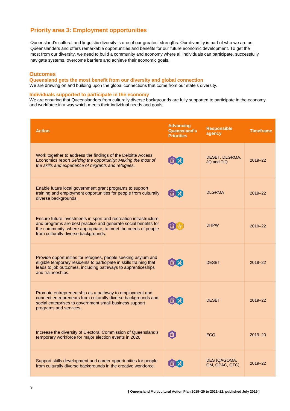# **Priority area 3: Employment opportunities**

Queensland's cultural and linguistic diversity is one of our greatest strengths. Our diversity is part of who we are as Queenslanders and offers remarkable opportunities and benefits for our future economic development. To get the most from our diversity, we need to build a community and economy where all individuals can participate, successfully navigate systems, overcome barriers and achieve their economic goals.

### **Outcomes**

#### **Queensland gets the most benefit from our diversity and global connection**

We are drawing on and building upon the global connections that come from our state's diversity.

### **Individuals supported to participate in the economy**

We are ensuring that Queenslanders from culturally diverse backgrounds are fully supported to participate in the economy and workforce in a way which meets their individual needs and goals.

| <b>Action</b>                                                                                                                                                                                                                                | <b>Advancing</b><br>Queensland's<br><b>Priorities</b> | <b>Responsible</b><br>agency   | <b>Timeframe</b> |
|----------------------------------------------------------------------------------------------------------------------------------------------------------------------------------------------------------------------------------------------|-------------------------------------------------------|--------------------------------|------------------|
| Work together to address the findings of the Deloitte Access<br>Economics report Seizing the opportunity: Making the most of<br>the skills and experience of migrants and refugees.                                                          | 【血】火                                                  | DESBT, DLGRMA,<br>JQ and TIQ   | 2019-22          |
| Enable future local government grant programs to support<br>training and employment opportunities for people from culturally<br>diverse backgrounds.                                                                                         | メ値                                                    | <b>DLGRMA</b>                  | 2019-22          |
| Ensure future investments in sport and recreation infrastructure<br>and programs are best practice and generate social benefits for<br>the community, where appropriate, to meet the needs of people<br>from culturally diverse backgrounds. | 血化                                                    | <b>DHPW</b>                    | 2019-22          |
| Provide opportunities for refugees, people seeking asylum and<br>eligible temporary residents to participate in skills training that<br>leads to job outcomes, including pathways to apprenticeships<br>and traineeships.                    | 【血】メ                                                  | <b>DESBT</b>                   | 2019-22          |
| Promote entrepreneurship as a pathway to employment and<br>connect entrepreneurs from culturally diverse backgrounds and<br>social enterprises to government small business support<br>programs and services.                                | 血区                                                    | <b>DESBT</b>                   | 2019-22          |
| Increase the diversity of Electoral Commission of Queensland's<br>temporary workforce for major election events in 2020.                                                                                                                     | 命                                                     | <b>ECQ</b>                     | 2019-20          |
| Support skills development and career opportunities for people<br>from culturally diverse backgrounds in the creative workforce.                                                                                                             |                                                       | DES (QAGOMA,<br>QM, QPAC, QTC) | 2019-22          |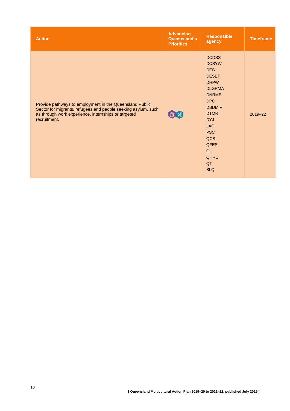| <b>Action</b>                                                                                                                                                                                   | <b>Advancing</b><br>Queensland's<br><b>Priorities</b> | <b>Responsible</b><br>agency                                                                                                                                                                                                                                      | <b>Timeframe</b> |
|-------------------------------------------------------------------------------------------------------------------------------------------------------------------------------------------------|-------------------------------------------------------|-------------------------------------------------------------------------------------------------------------------------------------------------------------------------------------------------------------------------------------------------------------------|------------------|
| Provide pathways to employment in the Queensland Public<br>Sector for migrants, refugees and people seeking asylum, such<br>as through work experience, internships or targeted<br>recruitment. |                                                       | <b>DCDSS</b><br><b>DCSYW</b><br><b>DES</b><br><b>DESBT</b><br><b>DHPW</b><br><b>DLGRMA</b><br><b>DNRME</b><br><b>DPC</b><br><b>DSDMIP</b><br><b>DTMR</b><br><b>DYJ</b><br><b>LAQ</b><br><b>PSC</b><br>QCS<br><b>QFES</b><br>QH<br><b>QHRC</b><br>QT<br><b>SLQ</b> | 2019-22          |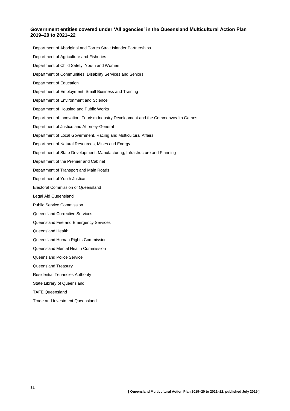### **Government entities covered under 'All agencies' in the Queensland Multicultural Action Plan 2019–20 to 2021–22**

Department of Aboriginal and Torres Strait Islander Partnerships Department of Agriculture and Fisheries Department of Child Safety, Youth and Women Department of Communities, Disability Services and Seniors Department of Education Department of Employment, Small Business and Training Department of Environment and Science Department of Housing and Public Works Department of Innovation, Tourism Industry Development and the Commonwealth Games Department of Justice and Attorney-General Department of Local Government, Racing and Multicultural Affairs Department of Natural Resources, Mines and Energy Department of State Development, Manufacturing, Infrastructure and Planning Department of the Premier and Cabinet Department of Transport and Main Roads Department of Youth Justice Electoral Commission of Queensland Legal Aid Queensland Public Service Commission Queensland Corrective Services Queensland Fire and Emergency Services Queensland Health Queensland Human Rights Commission Queensland Mental Health Commission Queensland Police Service Queensland Treasury Residential Tenancies Authority State Library of Queensland TAFE Queensland Trade and Investment Queensland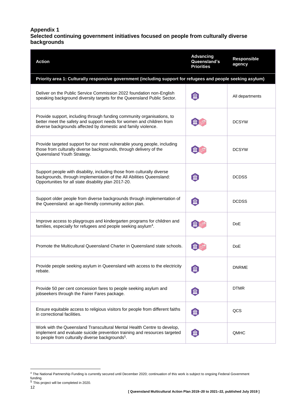# **Appendix 1 Selected continuing government initiatives focused on people from culturally diverse backgrounds**

| <b>Action</b>                                                                                                                                                                                                        | <b>Advancing</b><br>Queensland's<br><b>Priorities</b> | <b>Responsible</b><br>agency |
|----------------------------------------------------------------------------------------------------------------------------------------------------------------------------------------------------------------------|-------------------------------------------------------|------------------------------|
| Priority area 1: Culturally responsive government (including support for refugees and people seeking asylum)                                                                                                         |                                                       |                              |
| Deliver on the Public Service Commission 2022 foundation non-English<br>speaking background diversity targets for the Queensland Public Sector.                                                                      | 血                                                     | All departments              |
| Provide support, including through funding community organisations, to<br>better meet the safety and support needs for women and children from<br>diverse backgrounds affected by domestic and family violence.      | 血                                                     | <b>DCSYW</b>                 |
| Provide targeted support for our most vulnerable young people, including<br>those from culturally diverse backgrounds, through delivery of the<br>Queensland Youth Strategy.                                         | Ш                                                     | <b>DCSYW</b>                 |
| Support people with disability, including those from culturally diverse<br>backgrounds, through implementation of the All Abilities Queensland:<br>Opportunities for all state disability plan 2017-20.              | 血                                                     | <b>DCDSS</b>                 |
| Support older people from diverse backgrounds through implementation of<br>the Queensland: an age-friendly community action plan.                                                                                    | 血                                                     | <b>DCDSS</b>                 |
| Improve access to playgroups and kindergarten programs for children and<br>families, especially for refugees and people seeking asylum <sup>4</sup> .                                                                |                                                       | DoE                          |
| Promote the Multicultural Queensland Charter in Queensland state schools.                                                                                                                                            |                                                       | DoE                          |
| Provide people seeking asylum in Queensland with access to the electricity<br>rebate.                                                                                                                                | $\mathbf{\overline{m}}$                               | <b>DNRME</b>                 |
| Provide 50 per cent concession fares to people seeking asylum and<br>jobseekers through the Fairer Fares package.                                                                                                    | 血                                                     | <b>DTMR</b>                  |
| Ensure equitable access to religious visitors for people from different faiths<br>in correctional facilities.                                                                                                        | 血                                                     | QCS                          |
| Work with the Queensland Transcultural Mental Health Centre to develop,<br>implement and evaluate suicide prevention training and resources targeted<br>to people from culturally diverse backgrounds <sup>5</sup> . | 血                                                     | <b>QMHC</b>                  |

funding.<br><sup>5</sup> This project will be completed in 2020.

 $\overline{\phantom{a}}$ 

<sup>&</sup>lt;sup>4</sup> The National Partnership Funding is currently secured until December 2020; continuation of this work is subject to ongoing Federal Government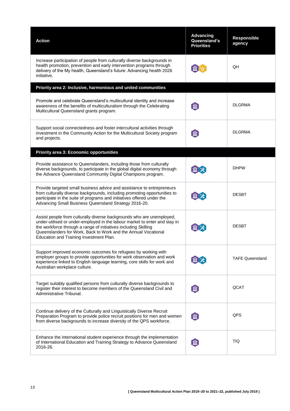| <b>Action</b>                                                                                                                                                                                                                                                                                                                       | <b>Advancing</b><br>Queensland's<br><b>Priorities</b> | Responsible<br>agency  |
|-------------------------------------------------------------------------------------------------------------------------------------------------------------------------------------------------------------------------------------------------------------------------------------------------------------------------------------|-------------------------------------------------------|------------------------|
| Increase participation of people from culturally diverse backgrounds in<br>health promotion, prevention and early intervention programs through<br>delivery of the My health, Queensland's future: Advancing health 2026<br>initiative.                                                                                             |                                                       | QH                     |
| Priority area 2: Inclusive, harmonious and united communities                                                                                                                                                                                                                                                                       |                                                       |                        |
| Promote and celebrate Queensland's multicultural identity and increase<br>awareness of the benefits of multiculturalism through the Celebrating<br>Multicultural Queensland grants program.                                                                                                                                         | 血                                                     | <b>DLGRMA</b>          |
| Support social connectedness and foster intercultural activities through<br>investment in the Community Action for the Multicultural Society program<br>and projects.                                                                                                                                                               | 血                                                     | <b>DLGRMA</b>          |
| <b>Priority area 3: Economic opportunities</b>                                                                                                                                                                                                                                                                                      |                                                       |                        |
| Provide assistance to Queenslanders, including those from culturally<br>diverse backgrounds, to participate in the global digital economy through<br>the Advance Queensland Community Digital Champions program.                                                                                                                    | 血区                                                    | <b>DHPW</b>            |
| Provide targeted small business advice and assistance to entrepreneurs<br>from culturally diverse backgrounds, including promoting opportunities to<br>participate in the suite of programs and initiatives offered under the<br>Advancing Small Business Queensland Strategy 2016-20.                                              |                                                       | <b>DESBT</b>           |
| Assist people from culturally diverse backgrounds who are unemployed,<br>under-utilised or under-employed in the labour market to enter and stay in<br>the workforce through a range of initiatives including Skilling<br>Queenslanders for Work, Back to Work and the Annual Vocational<br>Education and Training Investment Plan. |                                                       | <b>DESBT</b>           |
| Support improved economic outcomes for refugees by working with<br>employer groups to provide opportunities for work observation and work<br>experience linked to English language learning, core skills for work and<br>Australian workplace culture.                                                                              | ш                                                     | <b>TAFE Queensland</b> |
| Target suitably qualified persons from culturally diverse backgrounds to<br>register their interest to become members of the Queensland Civil and<br>Administrative Tribunal.                                                                                                                                                       | 血                                                     | QCAT                   |
| Continue delivery of the Culturally and Linguistically Diverse Recruit<br>Preparation Program to provide police recruit positions for men and women<br>from diverse backgrounds to increase diversity of the QPS workforce.                                                                                                         | 血                                                     | QPS                    |
| Enhance the international student experience through the implementation<br>of International Education and Training Strategy to Advance Queensland<br>2016-26.                                                                                                                                                                       | 血                                                     | <b>TIQ</b>             |